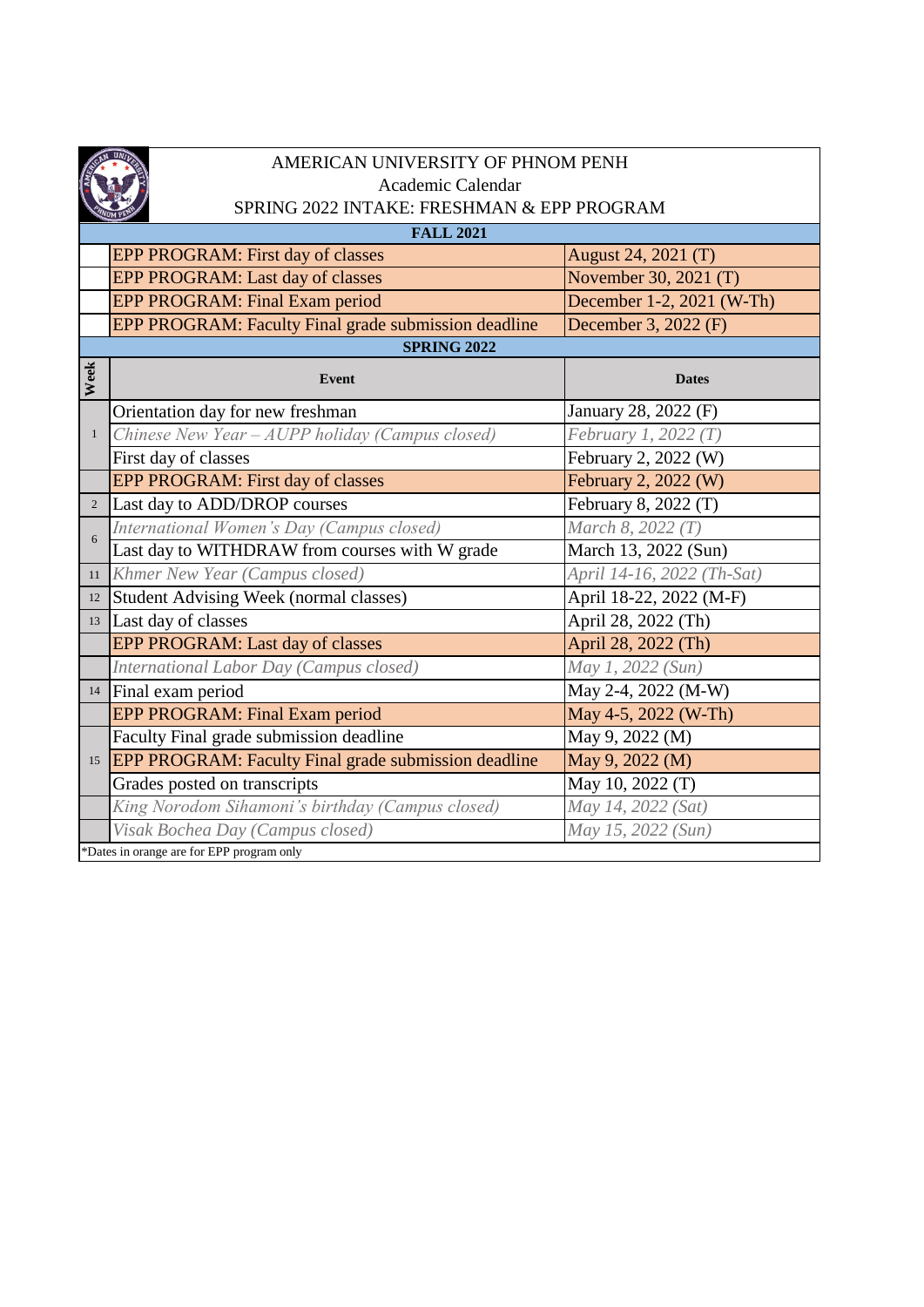

## AMERICAN UNIVERSITY OF PHNOM PENH Academic Calendar SPRING 2022 INTAKE: FRESHMAN & EPP PROGRAM

| <b>FALL 2021</b>   |                                                             |                            |  |  |
|--------------------|-------------------------------------------------------------|----------------------------|--|--|
|                    | EPP PROGRAM: First day of classes                           | August 24, 2021 (T)        |  |  |
|                    | EPP PROGRAM: Last day of classes                            | November 30, 2021 (T)      |  |  |
|                    | EPP PROGRAM: Final Exam period                              | December 1-2, 2021 (W-Th)  |  |  |
|                    | EPP PROGRAM: Faculty Final grade submission deadline        | December 3, 2022 (F)       |  |  |
| <b>SPRING 2022</b> |                                                             |                            |  |  |
| Week               | <b>Event</b>                                                | <b>Dates</b>               |  |  |
|                    | Orientation day for new freshman                            | January 28, 2022 (F)       |  |  |
| $\mathbf{1}$       | Chinese New Year - AUPP holiday (Campus closed)             | February 1, 2022 (T)       |  |  |
|                    | First day of classes                                        | February 2, 2022 (W)       |  |  |
|                    | EPP PROGRAM: First day of classes                           | February 2, 2022 (W)       |  |  |
| $\sqrt{2}$         | Last day to ADD/DROP courses                                | February 8, 2022 (T)       |  |  |
| 6                  | International Women's Day (Campus closed)                   | March 8, 2022 (T)          |  |  |
|                    | Last day to WITHDRAW from courses with W grade              | March 13, 2022 (Sun)       |  |  |
| 11                 | Khmer New Year (Campus closed)                              | April 14-16, 2022 (Th-Sat) |  |  |
| 12                 | <b>Student Advising Week (normal classes)</b>               | April 18-22, 2022 (M-F)    |  |  |
| 13                 | Last day of classes                                         | April 28, 2022 (Th)        |  |  |
|                    | EPP PROGRAM: Last day of classes                            | April 28, 2022 (Th)        |  |  |
|                    | International Labor Day (Campus closed)                     | May 1, 2022 (Sun)          |  |  |
|                    | 14 Final exam period                                        | May 2-4, 2022 (M-W)        |  |  |
|                    | EPP PROGRAM: Final Exam period                              | May 4-5, 2022 (W-Th)       |  |  |
|                    | Faculty Final grade submission deadline                     | May 9, 2022 (M)            |  |  |
| 15                 | <b>EPP PROGRAM: Faculty Final grade submission deadline</b> | May 9, 2022 (M)            |  |  |
|                    | Grades posted on transcripts                                | May 10, 2022 (T)           |  |  |
|                    | King Norodom Sihamoni's birthday (Campus closed)            | May 14, 2022 (Sat)         |  |  |
|                    | Visak Bochea Day (Campus closed)                            | May 15, 2022 (Sun)         |  |  |
|                    | *Dates in orange are for EPP program only                   |                            |  |  |